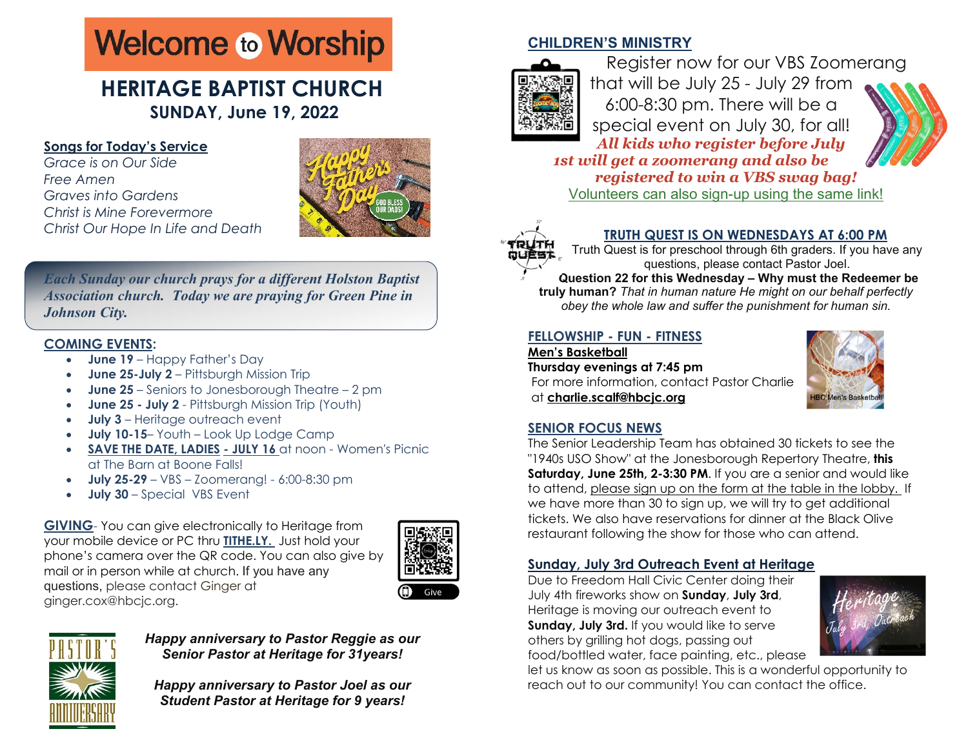# **Welcome to Worship**

# **HERITAGE BAPTIST CHURCH SUNDAY, June 19, 2022**

### **Songs for Today's Service**

*Grace is on Our Side Free Amen Graves into Gardens Christ is Mine Forevermore Christ Our Hope In Life and Death* 



*Each Sunday our church prays for a different Holston Baptist Association church. Today we are praying for Green Pine in Johnson City.* 

# **COMING EVENTS:**

- **June 19**  Happy Father's Day
- 0 **June 25-July 2** – Pittsburgh Mission Trip
- 0 **June 25** – Seniors to Jonesborough Theatre – 2 pm
- **June 25 July 2** Pittsburgh Mission Trip (Youth)
- 0 **July 3** – Heritage outreach event
- 0 **July 10-15**– Youth – Look Up Lodge Camp
- 0 **SAVE THE DATE, LADIES - JULY 16** at noon - Women's Picnic at The Barn at Boone Falls!
- **July 25-29** VBS Zoomerang! 6:00-8:30 pm
- 0 **July 30** – Special VBS Event

**GIVING**- You can give electronically to Heritage from your mobile device or PC thru **TITHE.LY.** Just hold your phone's camera over the QR code. You can also give by mail or in person while at church. If you have any questions, please contact Ginger at ginger.cox@hbcjc.org.





#### *Happy anniversary to Pastor Reggie as our Senior Pastor at Heritage for 31years!*

*Happy anniversary to Pastor Joel as our Student Pastor at Heritage for 9 years!*

# **CHILDREN'S MINISTRY**



Register now for our VBS Zoomerang that will be July 25 - July 29 from 6:00-8:30 pm. There will be a special event on July 30, for all! *All kids who register before July* 



*1st will get a zoomerang and also be registered to win a VBS swag bag!*  Volunteers can also sign-up using the same link!



# **TRUTH QUEST IS ON WEDNESDAYS AT 6:00 PM**

Truth Quest is for preschool through 6th graders. If you have any questions, please contact Pastor Joel. **Question 22 for this Wednesday – Why must the Redeemer be** 

**truly human?** *That in human nature He might on our behalf perfectly obey the whole law and suffer the punishment for human sin.*

# **FELLOWSHIP - FUN - FITNESS**

**Men's BasketballThursday evenings at 7:45 pm**  For more information, contact Pastor Charlie at **charlie.scalf@hbcjc.org** 



# **SENIOR FOCUS NEWS**

The Senior Leadership Team has obtained 30 tickets to see the "1940s USO Show" at the Jonesborough Repertory Theatre, **this Saturday, June 25th, 2-3:30 PM**. If you are a senior and would like to attend, please sign up on the form at the table in the lobby. If we have more than 30 to sign up, we will try to get additional tickets. We also have reservations for dinner at the Black Olive restaurant following the show for those who can attend.

# **Sunday, July 3rd Outreach Event at Heritage**

Due to Freedom Hall Civic Center doing their July 4th fireworks show on **Sunday**, **July 3rd**, Heritage is moving our outreach event to **Sunday, July 3rd.** If you would like to serve others by grilling hot dogs, passing out food/bottled water, face painting, etc., please



let us know as soon as possible. This is a wonderful opportunity to reach out to our community! You can contact the office.